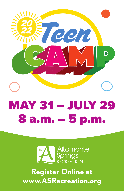



**Register Online at www.ASRecreation.org**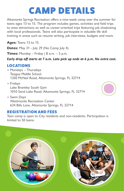# CAMP DETAILS

Altamonte Springs Recreation offers a nine-week camp over the summer for teens ages 13 to 15. The program includes games, activities and field trips to area attractions as well as career-oriented trips featuring job shadowing with local professionals. Teens will also participate in valuable life skill training in areas such as resume writing, job interviews, budgets and more.

**Ages:** Teens 13 to 15

**Dates:** May 31 - July 29 (No Camp July 4)

**Times:** Monday – Friday  $| 8$  a.m. – 5 p.m.

#### *Early drop off starts at 7 a.m. Late pick up ends at 6 p.m. No extra cost.*

## LOCATIONS

- Mondays Thursdays Teague Middle School 1350 McNeil Road, Altamonte Springs, FL 32714
- Fridays Lake Brantley South Gym 1010 Sand Lake Road, Altamonte Springs, FL 32714
- Swim Days Westmonte Recreation Center 624 Bills Lane, Altamonte Springs, FL 32714

## REGISTRATION AND FEES

Teen camp is open to City residents and non-residents. Participation is limited to 50 teens.

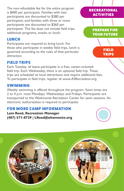The non-refundable fee for the entire program is \$400 per participant. Families with two participants are discounted to \$380 per participant, and families with three or more participants are discounted to \$360 per participant. This fee does not include field trips, additional programs, snacks or lunch.

#### LUNCH

Participants are required to bring lunch. For those who participate in weekly field trips, lunch is governed according to the rules of that particular attraction.

#### FIELD TRIPS

Each Tuesday, all teens participate in a free, career-oriented field trip. Each Wednesday, there is an optional field trip. These trips are scheduled at local attractions and require additional fees. To participate in field trips, register at www.ASRecreation.org.

#### SWIMMING

Weekly swimming is offered throughout the program. Swim times are 2 to 4 p.m. most Mondays, Wednesdays and Fridays. Participants are transported to the Westmonte Recreation Center for swim sessions. An electronic authorization is required to participate.

### FOR MORE CAMP INFORMATION

**Lem Reed, Recreation Manager (407) 571-8729 | LReed@altamonte.org**



**FIELD** TRIPS

YOUR FUTURE

RECREATIONAL **ACTIVITIES**